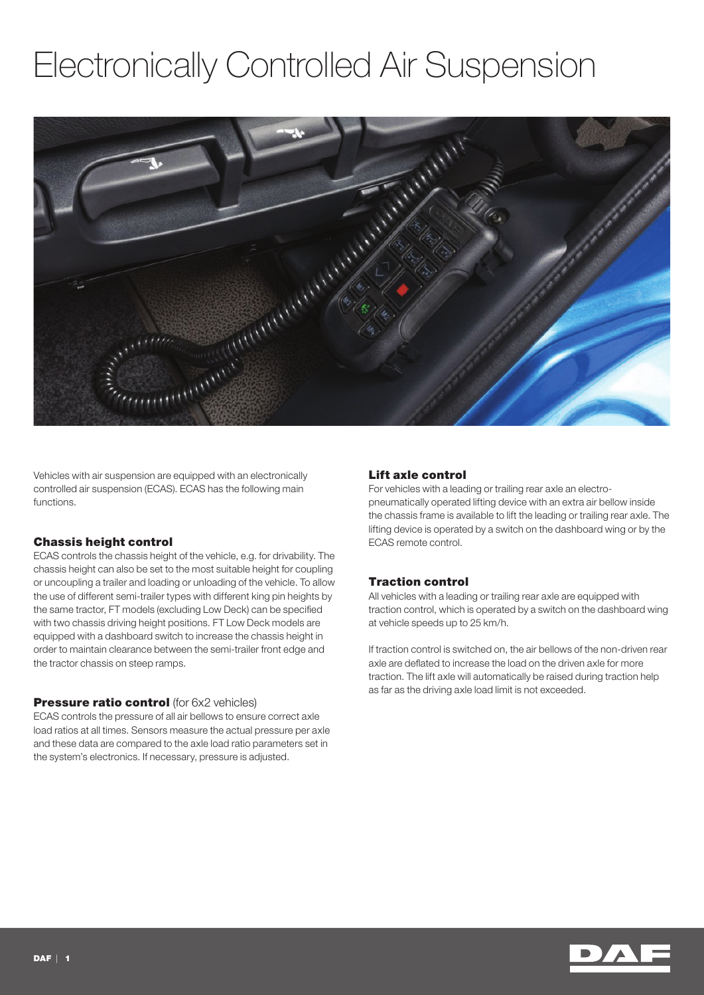# Electronically Controlled Air Suspension



Vehicles with air suspension are equipped with an electronically controlled air suspension (ECAS). ECAS has the following main functions.

#### Chassis height control

ECAS controls the chassis height of the vehicle, e.g. for drivability. The chassis height can also be set to the most suitable height for coupling or uncoupling a trailer and loading or unloading of the vehicle. To allow the use of different semi-trailer types with different king pin heights by the same tractor, FT models (excluding Low Deck) can be specified with two chassis driving height positions. FT Low Deck models are equipped with a dashboard switch to increase the chassis height in order to maintain clearance between the semi-trailer front edge and the tractor chassis on steep ramps.

#### **Pressure ratio control** (for 6x2 vehicles)

ECAS controls the pressure of all air bellows to ensure correct axle load ratios at all times. Sensors measure the actual pressure per axle and these data are compared to the axle load ratio parameters set in the system's electronics. If necessary, pressure is adjusted.

#### Lift axle control

For vehicles with a leading or trailing rear axle an electropneumatically operated lifting device with an extra air bellow inside the chassis frame is available to lift the leading or trailing rear axle. The lifting device is operated by a switch on the dashboard wing or by the ECAS remote control.

## Traction control

All vehicles with a leading or trailing rear axle are equipped with traction control, which is operated by a switch on the dashboard wing at vehicle speeds up to 25 km/h.

If traction control is switched on, the air bellows of the non-driven rear axle are deflated to increase the load on the driven axle for more traction. The lift axle will automatically be raised during traction help as far as the driving axle load limit is not exceeded.